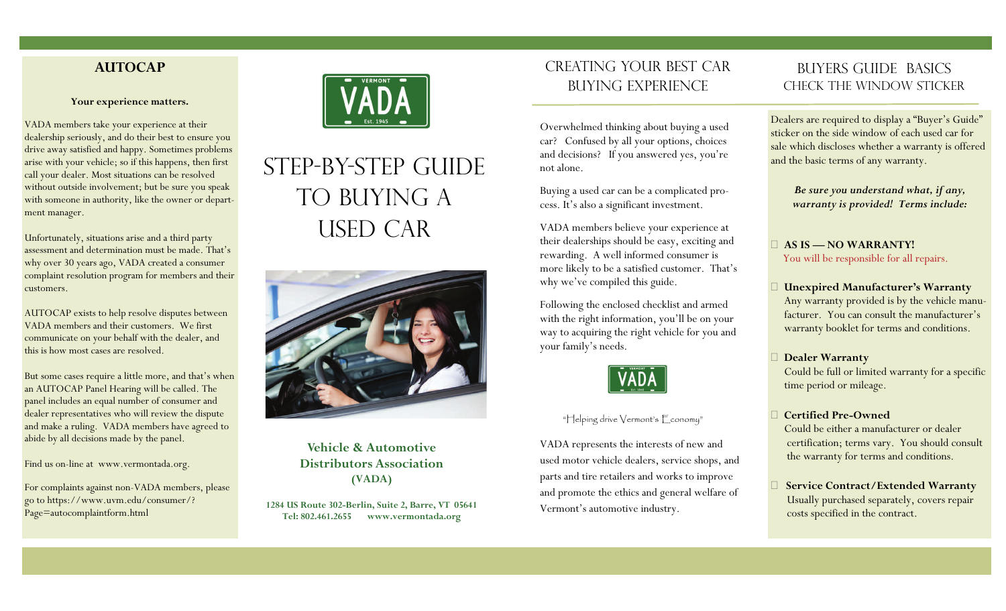# **AUTOCAP**

#### **Your experience matters.**

VADA members take your experience at their dealership seriously, and do their best to ensure you drive away satisfied and happy. Sometimes problems arise with your vehicle; so if this happens, then first call your dealer. Most situations can be resolved without outside involvement; but be sure you speak with someone in authority, like the owner or department manager.

Unfortunately, situations arise and a third party assessment and determination must be made. That's why over 30 years ago, VADA created a consumer complaint resolution program for members and their customers.

AUTOCAP exists to help resolve disputes between VADA members and their customers. We first communicate on your behalf with the dealer, and this is how most cases are resolved.

But some cases require a little more, and that's when an AUTOCAP Panel Hearing will be called. The panel includes an equal number of consumer and dealer representatives who will review the dispute and make a ruling. VADA members have agreed to abide by all decisions made by the panel.

Find us on-line at www.vermontada.org.

For complaints against non-VADA members, please go to https://www.uvm.edu/consumer/? Page=autocomplaintform.html



# step-by-step guide TO BUYING A used car



**Vehicle & Automotive Distributors Association (VADA)** 

**1284 US Route 302-Berlin, Suite 2, Barre, VT 05641 Tel: 802.461.2655 www.vermontada.org**

# Creating Your Best Car Buying Experience

Overwhelmed thinking about buying a used car? Confused by all your options, choices and decisions? If you answered yes, you're not alone.

Buying a used car can be a complicated process. It's also a significant investment.

VADA members believe your experience at their dealerships should be easy, exciting and rewarding. A well informed consumer is more likely to be a satisfied customer. That's why we've compiled this guide.

Following the enclosed checklist and armed with the right information, you'll be on your way to acquiring the right vehicle for you and your family's needs.



#### "Helping drive Vermont's Economy"

VADA represents the interests of new and used motor vehicle dealers, service shops, and parts and tire retailers and works to improve and promote the ethics and general welfare of Vermont's automotive industry.

# BUYERS GUIDE BASICS Check the window sticker

Dealers are required to display a "Buyer's Guide" sticker on the side window of each used car for sale which discloses whether a warranty is offered and the basic terms of any warranty.

*Be sure you understand what, if any, warranty is provided! Terms include:* 

**AS IS — NO WARRANTY!** You will be responsible for all repairs.

- **Unexpired Manufacturer's Warranty**  Any warranty provided is by the vehicle manu facturer. You can consult the manufacturer's warranty booklet for terms and conditions.
- **Dealer Warranty**

Could be full or limited warranty for a specific time period or mileage.

#### **Certified Pre-Owned**

 Could be either a manufacturer or dealer certification; terms vary. You should consult the warranty for terms and conditions.

 **Service Contract/Extended Warranty** Usually purchased separately, covers repair costs specified in the contract.